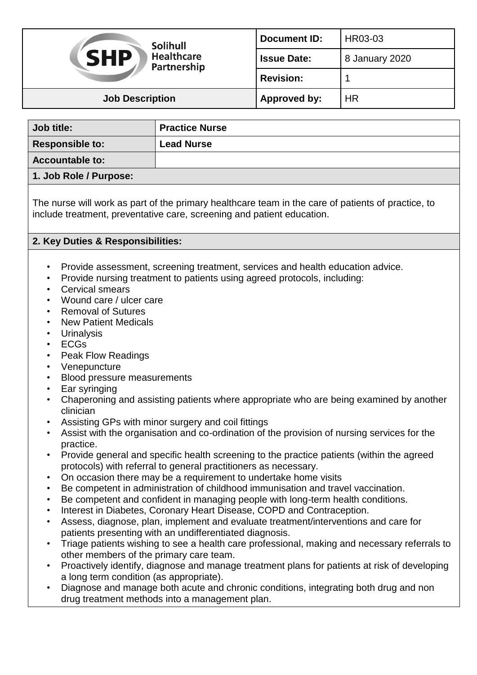| <b>Solihull</b><br><b>SHP</b><br><b>Healthcare</b><br>Partnership | <b>Document ID:</b> | HR03-03        |
|-------------------------------------------------------------------|---------------------|----------------|
|                                                                   | <b>Issue Date:</b>  | 8 January 2020 |
|                                                                   | <b>Revision:</b>    |                |
| <b>Job Description</b>                                            | Approved by:        | <b>HR</b>      |

| Job title:             | <b>Practice Nurse</b> |
|------------------------|-----------------------|
| <b>Responsible to:</b> | <b>Lead Nurse</b>     |
| <b>Accountable to:</b> |                       |
| 1. Job Role / Purpose: |                       |

The nurse will work as part of the primary healthcare team in the care of patients of practice, to include treatment, preventative care, screening and patient education.

## **2. Key Duties & Responsibilities:**

- Provide assessment, screening treatment, services and health education advice.
- Provide nursing treatment to patients using agreed protocols, including:
- Cervical smears
- Wound care / ulcer care
- Removal of Sutures
- New Patient Medicals
- Urinalysis
- ECGs
- Peak Flow Readings
- Venepuncture
- Blood pressure measurements
- Ear syringing
- Chaperoning and assisting patients where appropriate who are being examined by another clinician
- Assisting GPs with minor surgery and coil fittings
- Assist with the organisation and co-ordination of the provision of nursing services for the practice.
- Provide general and specific health screening to the practice patients (within the agreed protocols) with referral to general practitioners as necessary.
- On occasion there may be a requirement to undertake home visits
- Be competent in administration of childhood immunisation and travel vaccination.
- Be competent and confident in managing people with long-term health conditions.
- Interest in Diabetes, Coronary Heart Disease, COPD and Contraception.
- Assess, diagnose, plan, implement and evaluate treatment/interventions and care for patients presenting with an undifferentiated diagnosis.
- Triage patients wishing to see a health care professional, making and necessary referrals to other members of the primary care team.
- Proactively identify, diagnose and manage treatment plans for patients at risk of developing a long term condition (as appropriate).
- Diagnose and manage both acute and chronic conditions, integrating both drug and non drug treatment methods into a management plan.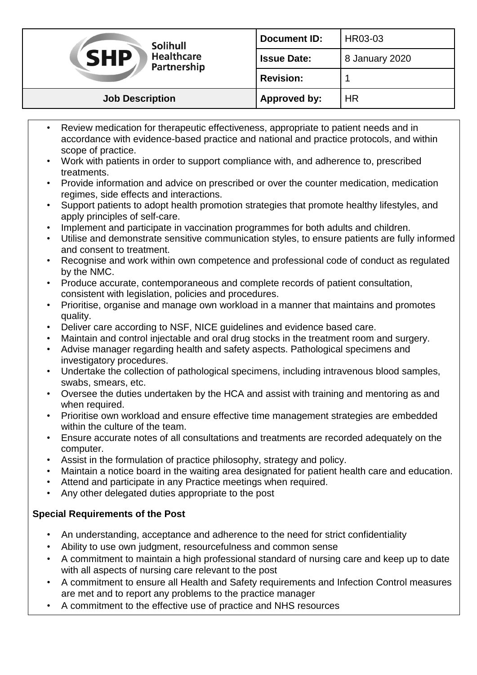| <b>Solihull</b><br><b>SHP</b><br><b>Healthcare</b><br>Partnership | <b>Document ID:</b> | HR03-03        |
|-------------------------------------------------------------------|---------------------|----------------|
|                                                                   | <b>Issue Date:</b>  | 8 January 2020 |
|                                                                   | <b>Revision:</b>    |                |
| <b>Job Description</b>                                            | Approved by:        | <b>HR</b>      |

- Review medication for therapeutic effectiveness, appropriate to patient needs and in accordance with evidence-based practice and national and practice protocols, and within scope of practice.
- Work with patients in order to support compliance with, and adherence to, prescribed treatments.
- Provide information and advice on prescribed or over the counter medication, medication regimes, side effects and interactions.
- Support patients to adopt health promotion strategies that promote healthy lifestyles, and apply principles of self-care.
- Implement and participate in vaccination programmes for both adults and children.
- Utilise and demonstrate sensitive communication styles, to ensure patients are fully informed and consent to treatment.
- Recognise and work within own competence and professional code of conduct as regulated by the NMC.
- Produce accurate, contemporaneous and complete records of patient consultation, consistent with legislation, policies and procedures.
- Prioritise, organise and manage own workload in a manner that maintains and promotes quality.
- Deliver care according to NSF, NICE guidelines and evidence based care.
- Maintain and control injectable and oral drug stocks in the treatment room and surgery.
- Advise manager regarding health and safety aspects. Pathological specimens and investigatory procedures.
- Undertake the collection of pathological specimens, including intravenous blood samples, swabs, smears, etc.
- Oversee the duties undertaken by the HCA and assist with training and mentoring as and when required.
- Prioritise own workload and ensure effective time management strategies are embedded within the culture of the team.
- Ensure accurate notes of all consultations and treatments are recorded adequately on the computer.
- Assist in the formulation of practice philosophy, strategy and policy.
- Maintain a notice board in the waiting area designated for patient health care and education.
- Attend and participate in any Practice meetings when required.
- Any other delegated duties appropriate to the post

# **Special Requirements of the Post**

- An understanding, acceptance and adherence to the need for strict confidentiality
- Ability to use own judgment, resourcefulness and common sense
- A commitment to maintain a high professional standard of nursing care and keep up to date with all aspects of nursing care relevant to the post
- A commitment to ensure all Health and Safety requirements and Infection Control measures are met and to report any problems to the practice manager
- A commitment to the effective use of practice and NHS resources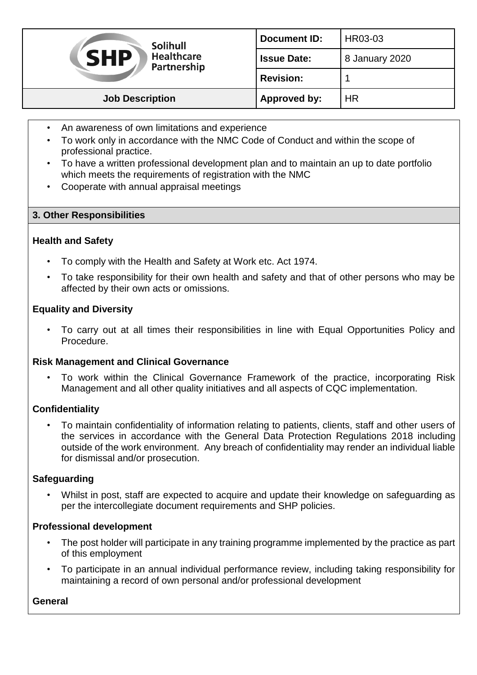| <b>Solihull</b><br><b>SHP</b><br><b>Healthcare</b><br>Partnership | <b>Document ID:</b> | HR03-03        |
|-------------------------------------------------------------------|---------------------|----------------|
|                                                                   | <b>Issue Date:</b>  | 8 January 2020 |
|                                                                   | <b>Revision:</b>    |                |
| <b>Job Description</b>                                            | <b>Approved by:</b> | <b>HR</b>      |

- An awareness of own limitations and experience
- To work only in accordance with the NMC Code of Conduct and within the scope of professional practice.
- To have a written professional development plan and to maintain an up to date portfolio which meets the requirements of registration with the NMC
- Cooperate with annual appraisal meetings

## **3. Other Responsibilities**

#### **Health and Safety**

- To comply with the Health and Safety at Work etc. Act 1974.
- To take responsibility for their own health and safety and that of other persons who may be affected by their own acts or omissions.

## **Equality and Diversity**

• To carry out at all times their responsibilities in line with Equal Opportunities Policy and Procedure.

#### **Risk Management and Clinical Governance**

• To work within the Clinical Governance Framework of the practice, incorporating Risk Management and all other quality initiatives and all aspects of CQC implementation.

#### **Confidentiality**

• To maintain confidentiality of information relating to patients, clients, staff and other users of the services in accordance with the General Data Protection Regulations 2018 including outside of the work environment. Any breach of confidentiality may render an individual liable for dismissal and/or prosecution.

#### **Safeguarding**

• Whilst in post, staff are expected to acquire and update their knowledge on safeguarding as per the intercollegiate document requirements and SHP policies.

#### **Professional development**

- The post holder will participate in any training programme implemented by the practice as part of this employment
- To participate in an annual individual performance review, including taking responsibility for maintaining a record of own personal and/or professional development

#### **General**